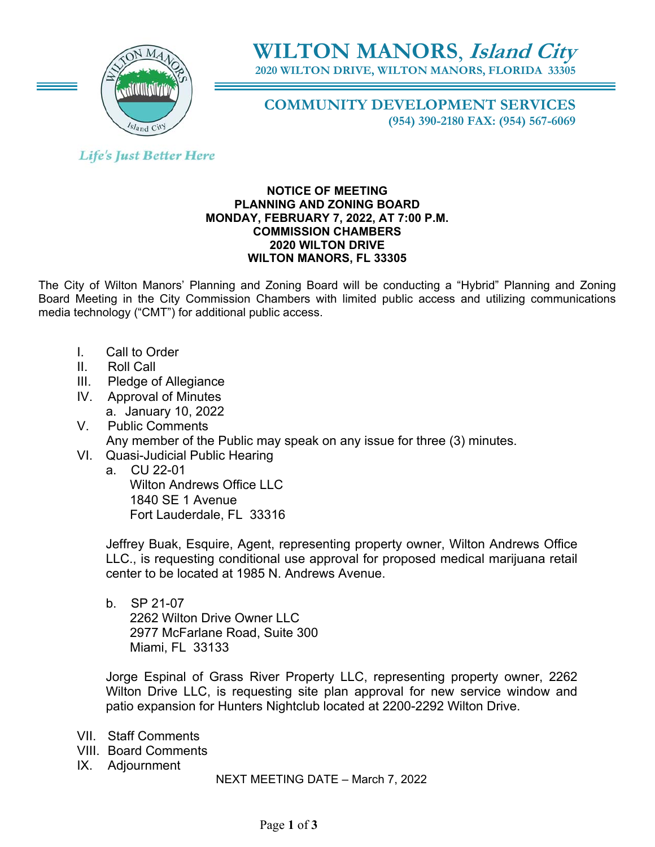

# **WILTON MANORS**, **Island City**

**2020 WILTON DRIVE, WILTON MANORS, FLORIDA 33305** 

**COMMUNITY DEVELOPMENT SERVICES (954) 390-2180 FAX: (954) 567-6069** 

# **Life's Just Better Here**

## **NOTICE OF MEETING PLANNING AND ZONING BOARD MONDAY, FEBRUARY 7, 2022, AT 7:00 P.M. COMMISSION CHAMBERS 2020 WILTON DRIVE WILTON MANORS, FL 33305**

The City of Wilton Manors' Planning and Zoning Board will be conducting a "Hybrid" Planning and Zoning Board Meeting in the City Commission Chambers with limited public access and utilizing communications media technology ("CMT") for additional public access.

- I. Call to Order
- II. Roll Call
- III. Pledge of Allegiance
- IV. Approval of Minutes a. January 10, 2022
- V. Public Comments Any member of the Public may speak on any issue for three (3) minutes.
- VI. Quasi-Judicial Public Hearing
	- a. CU 22-01 Wilton Andrews Office LLC 1840 SE 1 Avenue Fort Lauderdale, FL 33316

Jeffrey Buak, Esquire, Agent, representing property owner, Wilton Andrews Office LLC., is requesting conditional use approval for proposed medical marijuana retail center to be located at 1985 N. Andrews Avenue.

b. SP 21-07 2262 Wilton Drive Owner LLC 2977 McFarlane Road, Suite 300 Miami, FL 33133

Jorge Espinal of Grass River Property LLC, representing property owner, 2262 Wilton Drive LLC, is requesting site plan approval for new service window and patio expansion for Hunters Nightclub located at 2200-2292 Wilton Drive.

- VII. Staff Comments
- VIII. Board Comments
- IX. Adjournment

NEXT MEETING DATE – March 7, 2022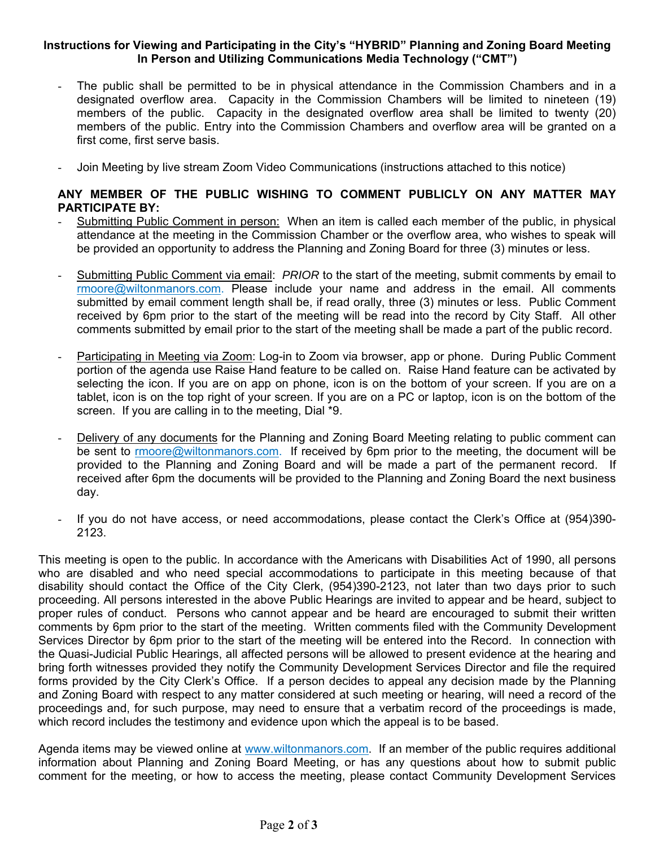## **Instructions for Viewing and Participating in the City's "HYBRID" Planning and Zoning Board Meeting In Person and Utilizing Communications Media Technology ("CMT")**

- The public shall be permitted to be in physical attendance in the Commission Chambers and in a designated overflow area. Capacity in the Commission Chambers will be limited to nineteen (19) members of the public. Capacity in the designated overflow area shall be limited to twenty (20) members of the public. Entry into the Commission Chambers and overflow area will be granted on a first come, first serve basis.
- Join Meeting by live stream Zoom Video Communications (instructions attached to this notice)

# **ANY MEMBER OF THE PUBLIC WISHING TO COMMENT PUBLICLY ON ANY MATTER MAY PARTICIPATE BY:**

- Submitting Public Comment in person: When an item is called each member of the public, in physical attendance at the meeting in the Commission Chamber or the overflow area, who wishes to speak will be provided an opportunity to address the Planning and Zoning Board for three (3) minutes or less.
- Submitting Public Comment via email: *PRIOR* to the start of the meeting, submit comments by email to rmoore@wiltonmanors.com. Please include your name and address in the email. All comments submitted by email comment length shall be, if read orally, three (3) minutes or less. Public Comment received by 6pm prior to the start of the meeting will be read into the record by City Staff. All other comments submitted by email prior to the start of the meeting shall be made a part of the public record.
- Participating in Meeting via Zoom: Log-in to Zoom via browser, app or phone. During Public Comment portion of the agenda use Raise Hand feature to be called on. Raise Hand feature can be activated by selecting the icon. If you are on app on phone, icon is on the bottom of your screen. If you are on a tablet, icon is on the top right of your screen. If you are on a PC or laptop, icon is on the bottom of the screen. If you are calling in to the meeting, Dial \*9.
- Delivery of any documents for the Planning and Zoning Board Meeting relating to public comment can be sent to rmoore@wiltonmanors.com. If received by 6pm prior to the meeting, the document will be provided to the Planning and Zoning Board and will be made a part of the permanent record. If received after 6pm the documents will be provided to the Planning and Zoning Board the next business day.
- If you do not have access, or need accommodations, please contact the Clerk's Office at (954)390-2123.

This meeting is open to the public. In accordance with the Americans with Disabilities Act of 1990, all persons who are disabled and who need special accommodations to participate in this meeting because of that disability should contact the Office of the City Clerk, (954)390-2123, not later than two days prior to such proceeding. All persons interested in the above Public Hearings are invited to appear and be heard, subject to proper rules of conduct. Persons who cannot appear and be heard are encouraged to submit their written comments by 6pm prior to the start of the meeting. Written comments filed with the Community Development Services Director by 6pm prior to the start of the meeting will be entered into the Record. In connection with the Quasi-Judicial Public Hearings, all affected persons will be allowed to present evidence at the hearing and bring forth witnesses provided they notify the Community Development Services Director and file the required forms provided by the City Clerk's Office. If a person decides to appeal any decision made by the Planning and Zoning Board with respect to any matter considered at such meeting or hearing, will need a record of the proceedings and, for such purpose, may need to ensure that a verbatim record of the proceedings is made, which record includes the testimony and evidence upon which the appeal is to be based.

Agenda items may be viewed online at www.wiltonmanors.com. If an member of the public requires additional information about Planning and Zoning Board Meeting, or has any questions about how to submit public comment for the meeting, or how to access the meeting, please contact Community Development Services